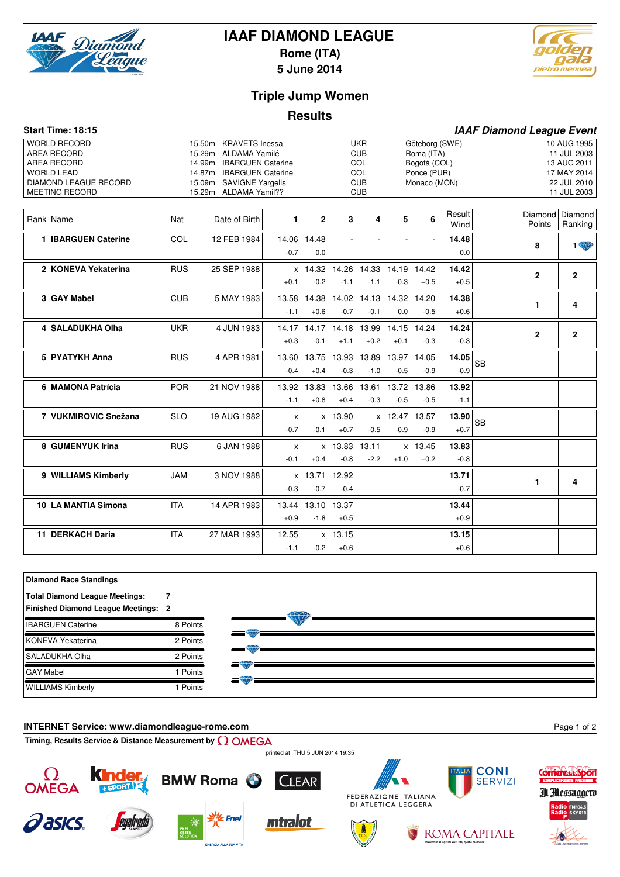

# **IAAF DIAMOND LEAGUE**

**Rome (ITA)**



**5 June 2014**

# **Triple Jump Women**

## **Results**

|   | Start Time: 18:15                                                                                                                      |            |                                                                                                                                                                     |                        |                             |                                               |                                                                    |                         |                                                                             |                 | <b>IAAF Diamond League Event</b> |                |                                                                                        |
|---|----------------------------------------------------------------------------------------------------------------------------------------|------------|---------------------------------------------------------------------------------------------------------------------------------------------------------------------|------------------------|-----------------------------|-----------------------------------------------|--------------------------------------------------------------------|-------------------------|-----------------------------------------------------------------------------|-----------------|----------------------------------|----------------|----------------------------------------------------------------------------------------|
|   | <b>WORLD RECORD</b><br><b>AREA RECORD</b><br>AREA RECORD<br><b>WORLD LEAD</b><br><b>DIAMOND LEAGUE RECORD</b><br><b>MEETING RECORD</b> |            | <b>KRAVETS</b> Inessa<br>15.50m<br>15.29m ALDAMA Yamilé<br>14.99m IBARGUEN Caterine<br>14.87m IBARGUEN Caterine<br>15.09m SAVIGNE Yargelis<br>15.29m ALDAMA Yamil?? |                        |                             |                                               | <b>UKR</b><br><b>CUB</b><br>COL<br>COL<br><b>CUB</b><br><b>CUB</b> |                         | Göteborg (SWE)<br>Roma (ITA)<br>Bogotá (COL)<br>Ponce (PUR)<br>Monaco (MON) |                 |                                  |                | 10 AUG 1995<br>11 JUL 2003<br>13 AUG 2011<br>17 MAY 2014<br>22 JUL 2010<br>11 JUL 2003 |
|   | Rank   Name                                                                                                                            | Nat        | Date of Birth                                                                                                                                                       | $\mathbf{1}$           | $\mathbf{2}$                | $\mathbf{3}$                                  | 4                                                                  | 5                       | 6                                                                           | Result<br>Wind  |                                  | Points         | Diamond Diamond<br>Ranking                                                             |
|   | <b>IBARGUEN Caterine</b>                                                                                                               | COL        | 12 FEB 1984                                                                                                                                                         | $-0.7$                 | 14.06 14.48<br>0.0          |                                               |                                                                    |                         |                                                                             | 14.48<br>0.0    |                                  | 8              | <b>1 W</b>                                                                             |
|   | 2 KONEVA Yekaterina                                                                                                                    | <b>RUS</b> | 25 SEP 1988                                                                                                                                                         | $+0.1$                 | $-0.2$                      | x 14.32 14.26 14.33 14.19 14.42<br>$-1.1$     | $-1.1$                                                             | $-0.3$                  | $+0.5$                                                                      | 14.42<br>$+0.5$ |                                  | $\overline{2}$ | $\mathbf{2}$                                                                           |
| 3 | <b>GAY Mabel</b>                                                                                                                       | <b>CUB</b> | 5 MAY 1983                                                                                                                                                          | $-1.1$                 | $+0.6$                      | 13.58 14.38 14.02 14.13 14.32 14.20<br>$-0.7$ | $-0.1$                                                             | 0.0                     | $-0.5$                                                                      | 14.38<br>$+0.6$ |                                  | 1              | 4                                                                                      |
|   | 4 SALADUKHA Olha                                                                                                                       | <b>UKR</b> | 4 JUN 1983                                                                                                                                                          | $+0.3$                 | $-0.1$                      | 14.17 14.17 14.18 13.99 14.15 14.24<br>$+1.1$ | $+0.2$                                                             | $+0.1$                  | $-0.3$                                                                      | 14.24<br>$-0.3$ |                                  | $\mathbf{2}$   | $\mathbf{2}$                                                                           |
|   | 5 PYATYKH Anna                                                                                                                         | <b>RUS</b> | 4 APR 1981                                                                                                                                                          | $-0.4$                 | $+0.4$                      | 13.60 13.75 13.93 13.89 13.97 14.05<br>$-0.3$ | $-1.0$                                                             | $-0.5$                  | $-0.9$                                                                      | 14.05<br>$-0.9$ | <b>SB</b>                        |                |                                                                                        |
|   | 6 MAMONA Patrícia                                                                                                                      | <b>POR</b> | 21 NOV 1988                                                                                                                                                         | $-1.1$                 | $+0.8$                      | 13.92 13.83 13.66 13.61 13.72 13.86<br>$+0.4$ | $-0.3$                                                             | $-0.5$                  | $-0.5$                                                                      | 13.92<br>$-1.1$ |                                  |                |                                                                                        |
|   | 7 VUKMIROVIC Snežana                                                                                                                   | <b>SLO</b> | 19 AUG 1982                                                                                                                                                         | $\mathsf{x}$<br>$-0.7$ | $-0.1$                      | x 13.90<br>$+0.7$                             | $-0.5$                                                             | x 12.47 13.57<br>$-0.9$ | $-0.9$                                                                      | 13.90<br>$+0.7$ | <b>SB</b>                        |                |                                                                                        |
|   | 8 GUMENYUK Irina                                                                                                                       | <b>RUS</b> | 6 JAN 1988                                                                                                                                                          | $\mathsf{x}$<br>$-0.1$ | $+0.4$                      | x 13.83 13.11<br>$-0.8$                       | $-2.2$                                                             | $+1.0$                  | x 13.45<br>$+0.2$                                                           | 13.83<br>$-0.8$ |                                  |                |                                                                                        |
|   | 9 WILLIAMS Kimberly                                                                                                                    | <b>JAM</b> | 3 NOV 1988                                                                                                                                                          | $-0.3$                 | x 13.71 12.92<br>$-0.7$     | $-0.4$                                        |                                                                    |                         |                                                                             | 13.71<br>$-0.7$ |                                  | 1              | 4                                                                                      |
|   | 10 LA MANTIA Simona                                                                                                                    | <b>ITA</b> | 14 APR 1983                                                                                                                                                         | $+0.9$                 | 13.44 13.10 13.37<br>$-1.8$ | $+0.5$                                        |                                                                    |                         |                                                                             | 13.44<br>$+0.9$ |                                  |                |                                                                                        |
|   | 11 DERKACH Daria                                                                                                                       | <b>ITA</b> | 27 MAR 1993                                                                                                                                                         | 12.55<br>$-1.1$        | $-0.2$                      | x 13.15<br>$+0.6$                             |                                                                    |                         |                                                                             | 13.15<br>$+0.6$ |                                  |                |                                                                                        |

## **Diamond Race Standings Total Diamond League Meetings: Finished Diamond League Meetings: 2 7** IBARGUEN Caterine 8 Points KONEVA Yekaterina 2 Points SALADUKHA Olha 2 Points GAY Mabel 1 Points WILLIAMS Kimberly 1 Points

#### **INTERNET Service: www.diamondleague-rome.com**

Page 1 of 2